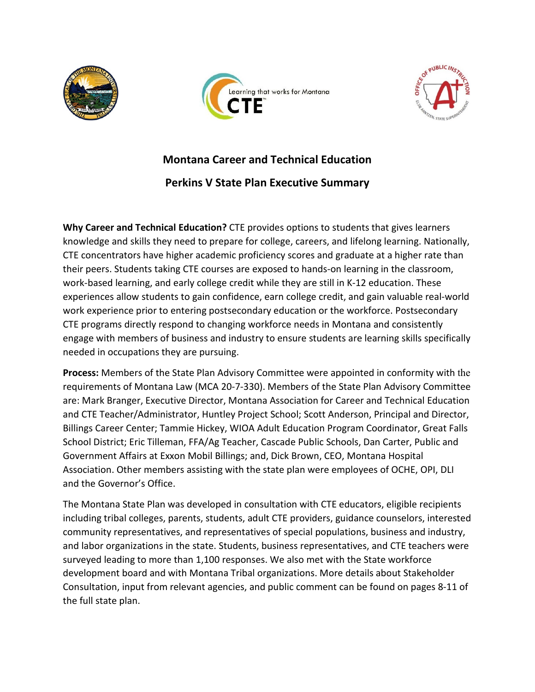





## **Montana Career and Technical Education**

## **Perkins V State Plan Executive Summary**

**Why Career and Technical Education?** CTE provides options to students that gives learners knowledge and skills they need to prepare for college, careers, and lifelong learning. Nationally, CTE concentrators have higher academic proficiency scores and graduate at a higher rate than their peers. Students taking CTE courses are exposed to hands-on learning in the classroom, work-based learning, and early college credit while they are still in K-12 education. These experiences allow students to gain confidence, earn college credit, and gain valuable real-world work experience prior to entering postsecondary education or the workforce. Postsecondary CTE programs directly respond to changing workforce needs in Montana and consistently engage with members of business and industry to ensure students are learning skills specifically needed in occupations they are pursuing.

**Process:** Members of the State Plan Advisory Committee were appointed in conformity with the requirements of Montana Law (MCA 20-7-330). Members of the State Plan Advisory Committee are: Mark Branger, Executive Director, Montana Association for Career and Technical Education and CTE Teacher/Administrator, Huntley Project School; Scott Anderson, Principal and Director, Billings Career Center; Tammie Hickey, WIOA Adult Education Program Coordinator, Great Falls School District; Eric Tilleman, FFA/Ag Teacher, Cascade Public Schools, Dan Carter, Public and Government Affairs at Exxon Mobil Billings; and, Dick Brown, CEO, Montana Hospital Association. Other members assisting with the state plan were employees of OCHE, OPI, DLI and the Governor's Office.

The Montana State Plan was developed in consultation with CTE educators, eligible recipients including tribal colleges, parents, students, adult CTE providers, guidance counselors, interested community representatives, and representatives of special populations, business and industry, and labor organizations in the state. Students, business representatives, and CTE teachers were surveyed leading to more than 1,100 responses. We also met with the State workforce development board and with Montana Tribal organizations. More details about Stakeholder Consultation, input from relevant agencies, and public comment can be found on pages 8-11 of the full state plan.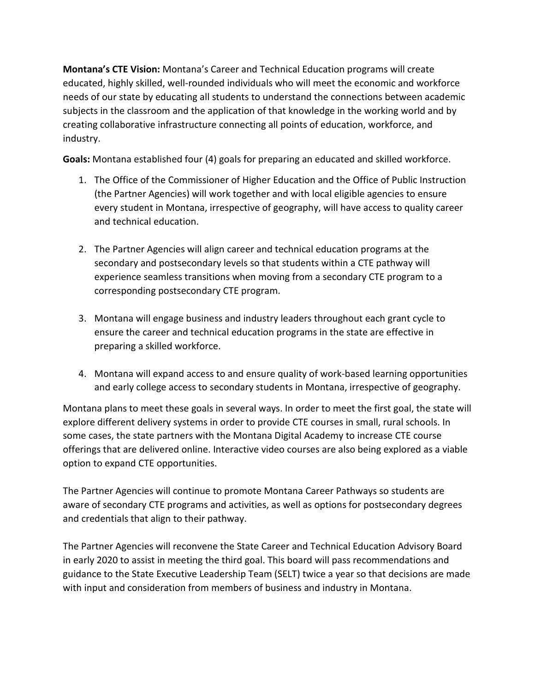**Montana's CTE Vision:** Montana's Career and Technical Education programs will create educated, highly skilled, well-rounded individuals who will meet the economic and workforce needs of our state by educating all students to understand the connections between academic subjects in the classroom and the application of that knowledge in the working world and by creating collaborative infrastructure connecting all points of education, workforce, and industry.

**Goals:** Montana established four (4) goals for preparing an educated and skilled workforce.

- 1. The Office of the Commissioner of Higher Education and the Office of Public Instruction (the Partner Agencies) will work together and with local eligible agencies to ensure every student in Montana, irrespective of geography, will have access to quality career and technical education.
- 2. The Partner Agencies will align career and technical education programs at the secondary and postsecondary levels so that students within a CTE pathway will experience seamless transitions when moving from a secondary CTE program to a corresponding postsecondary CTE program.
- 3. Montana will engage business and industry leaders throughout each grant cycle to ensure the career and technical education programs in the state are effective in preparing a skilled workforce.
- 4. Montana will expand access to and ensure quality of work-based learning opportunities and early college access to secondary students in Montana, irrespective of geography.

Montana plans to meet these goals in several ways. In order to meet the first goal, the state will explore different delivery systems in order to provide CTE courses in small, rural schools. In some cases, the state partners with the Montana Digital Academy to increase CTE course offerings that are delivered online. Interactive video courses are also being explored as a viable option to expand CTE opportunities.

The Partner Agencies will continue to promote Montana Career Pathways so students are aware of secondary CTE programs and activities, as well as options for postsecondary degrees and credentials that align to their pathway.

The Partner Agencies will reconvene the State Career and Technical Education Advisory Board in early 2020 to assist in meeting the third goal. This board will pass recommendations and guidance to the State Executive Leadership Team (SELT) twice a year so that decisions are made with input and consideration from members of business and industry in Montana.